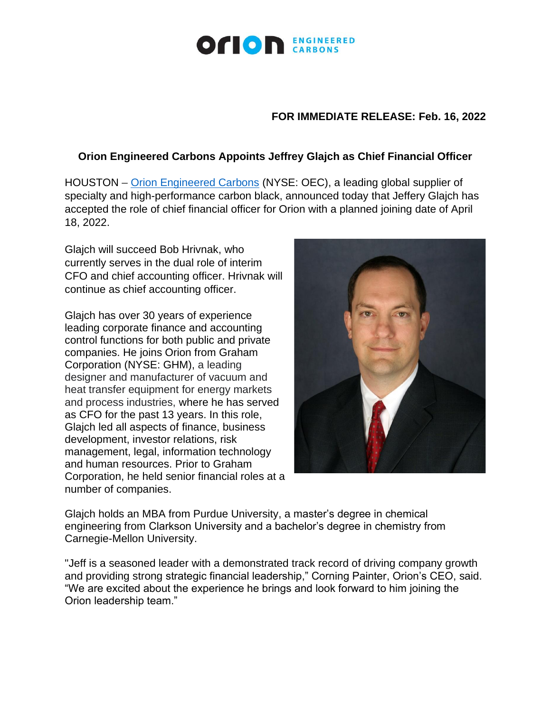

## **FOR IMMEDIATE RELEASE: Feb. 16, 2022**

## **Orion Engineered Carbons Appoints Jeffrey Glajch as Chief Financial Officer**

HOUSTON – [Orion Engineered Carbons](https://www.orioncarbons.com/index_en.php) (NYSE: OEC), a leading global supplier of specialty and high-performance carbon black, announced today that Jeffery Glajch has accepted the role of chief financial officer for Orion with a planned joining date of April 18, 2022.

Glajch will succeed Bob Hrivnak, who currently serves in the dual role of interim CFO and chief accounting officer. Hrivnak will continue as chief accounting officer.

Glajch has over 30 years of experience leading corporate finance and accounting control functions for both public and private companies. He joins Orion from Graham Corporation (NYSE: GHM), a leading designer and manufacturer of vacuum and heat transfer equipment for energy markets and process industries, where he has served as CFO for the past 13 years. In this role, Glajch led all aspects of finance, business development, investor relations, risk management, legal, information technology and human resources. Prior to Graham Corporation, he held senior financial roles at a number of companies.



Glajch holds an MBA from Purdue University, a master's degree in chemical engineering from Clarkson University and a bachelor's degree in chemistry from Carnegie-Mellon University.

"Jeff is a seasoned leader with a demonstrated track record of driving company growth and providing strong strategic financial leadership," Corning Painter, Orion's CEO, said. "We are excited about the experience he brings and look forward to him joining the Orion leadership team."